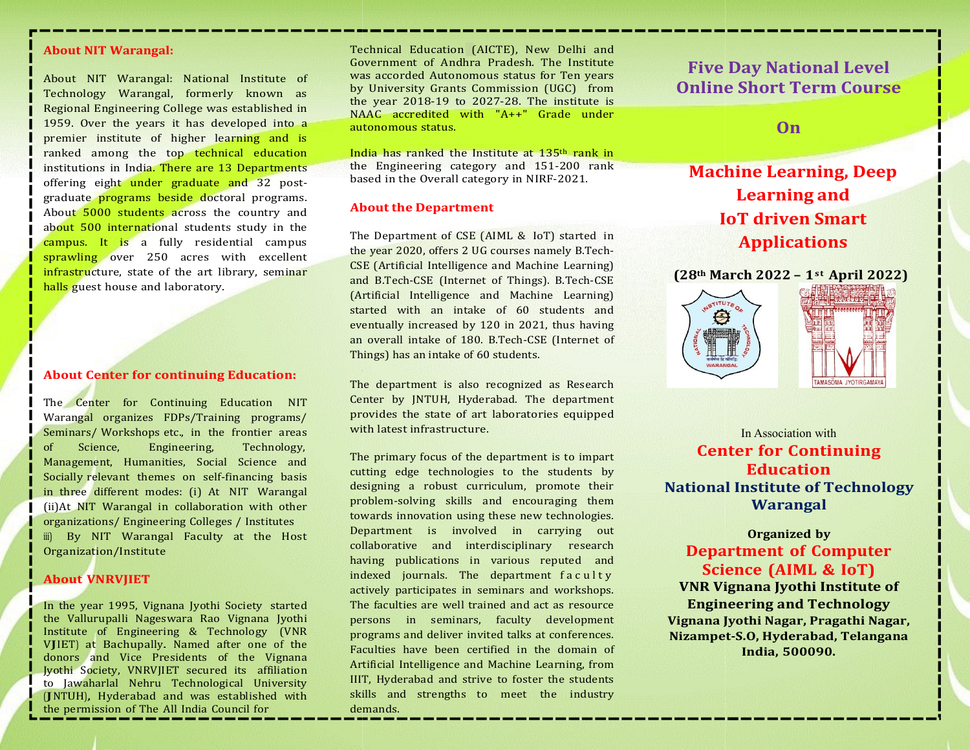# About NIT Warangal:

About NIT Warangal: National Institute of Technology Warangal, formerly known as Regional Engineering College was established in 1959. Over the years it has developed into a premier institute of higher learning and is ranked among the top technical education institutions in India. There are 13 Departments offering eight under graduate and 32 postgraduate **programs** beside doctoral programs. About 5000 students across the country and about 500 international students study in the campus. It is a fully residential campus sprawling over 250 acres with excellent infrastructure, state of the art library, seminar halls guest house and laboratory.

### About Center for continuing Education:

The Center for Continuing Education NIT Warangal organizes FDPs/Training programs/ Seminars/ Workshops etc., in the frontier areas of Science, Engineering, Technology, Management, Humanities, Social Science and Socially relevant themes on self-financing basis in three different modes: (i) At NIT Warangal (ii)At NIT Warangal in collaboration with other organizations/ Engineering Colleges / Institutes iii) By NIT Warangal Faculty at the Host Organization/Institute

In the year 1995, Vignana Jyothi Society started the Vallurupalli Nageswara Rao Vignana Jyothi Institute of Engineering & Technology (VNR VJIET) at Bachupally. Named after one of the donors and Vice Presidents of the Vignana Jyothi Society, VNRVJIET secured its affiliation to Jawaharlal Nehru Technological University (JNTUH), Hyderabad and was established with the permission of The All India Council for

Government of Andhra Pradesh. The Institute vas accorded Autonomous status for Ten year<br>y University Grants Commission (UGC) from<br>ne year 2018-19 to 2027-28. The institute i<br>AAC accredited with "A++" Grade unde Technical Education (AICTE), New Delhi and was accorded Autonomous status for Ten years by University Grants Commission (UGC) from  $\bf{On}$ the year 2018-19 to 2027-28. The institute is NAAC accredited with "A++" Grade under autonomous status.

India has ranked the Institute at 135th rank in the Engineering category and 151-200 rank based in the Overall category in NIRF-2021.

#### About the Department

The Department of CSE (AIML & IoT) started in the year 2020, offers 2 UG courses namely B.Tech-CSE (Artificial Intelligence and Machine Learning)<br>and B.Tesh CSE (Internet of Things), B.Tesh CSE (28<sup>th</sup> March 2022 – 1<sup>st</sup> April 2022) and B.Tech-CSE (Internet of Things). B.Tech-CSE (Artificial Intelligence and Machine Learning) started with an intake of 60 students and eventually increased by 120 in 2021, thus having an overall intake of 180. B.Tech-CSE (Internet of Things) has an intake of 60 students.

- The department is also recognized as Research Center by JNTUH, Hyderabad. The department provides the state of art laboratories equipped with latest infrastructure.

About VNRVIIET indexed journals. The department faculty The primary focus of the department is to impart cutting edge technologies to the students by designing a robust curriculum, promote their problem-solving skills and encouraging them towards innovation using these new technologies. Department is involved in carrying out collaborative and interdisciplinary research having publications in various reputed and CSE (Artificial Intelligence and Machine Learning)<br>
(Artificial Intelligence and Machine Learning)<br>
(Artificial Intelligence and Machine Learning)<br>
(Artificial Intelligence and Machine Learning)<br>
eventually increased by 1 actively participates in seminars and workshops. The faculties are well trained and act as resource persons in seminars, faculty development programs and deliver invited talks at conferences. Faculties have been certified in the domain of Artificial Intelligence and Machine Learning, from IIIT, Hyderabad and strive to foster the students skills and strengths to meet the industry demands.

# Five Day National Level Online Short Term Course

# On the contract of the contract of the contract of the contract of the contract of the contract of the contract of the contract of the contract of the contract of the contract of the contract of the contract of the contrac

Machine Learning, Deep Learning and IoT driven Smart Applications Five Day National Level<br>
Online Short Term Course<br>
On<br>
Machine Learning, Deep<br>
Learning and<br>
IoT driven Smart<br>
Applications<br>
(28<sup>th</sup> March 2022 – 1<sup>st</sup> April 2022)<br>
(28<sup>th</sup> March 2022 – 1<sup>st</sup> April 2022)





The primary focus of the department is to impart<br>
Inting edge technologies to the students by<br>
String a robust curriculum, promote their<br>
National Institute of Technology In Association with Center for Continuing Education Warangal

> Engineering and Technology Fig. Organized by Department of Computer Science (AIML & IoT) VNR Vignana Jyothi Institute of Vignana Jyothi Nagar, Pragathi Nagar, Nizampet-S.O, Hyderabad, Telangana India, 500090.